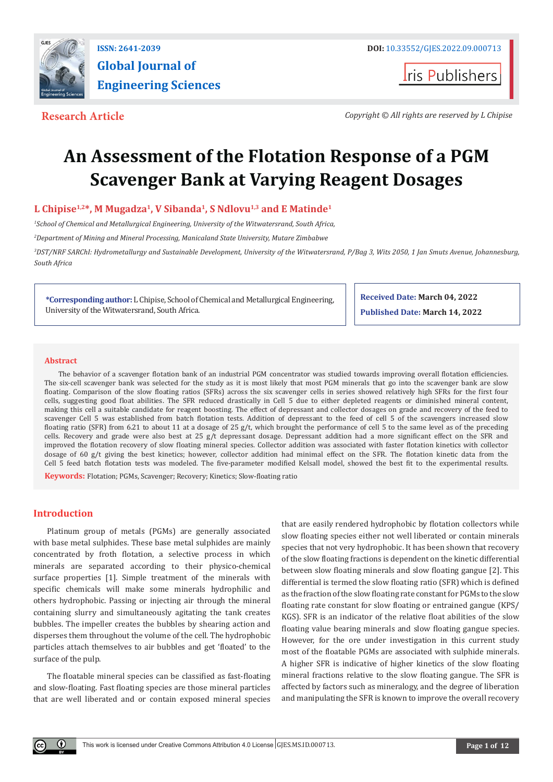

**I**ris Publishers

**Research Article** *Copyright © All rights are reserved by L Chipise*

# **An Assessment of the Flotation Response of a PGM Scavenger Bank at Varying Reagent Dosages**

# L Chipise<sup>1,2\*</sup>, M Mugadza<sup>1</sup>, V Sibanda<sup>1</sup>, S Ndlovu<sup>1,3</sup> and E Matinde<sup>1</sup>

*1 School of Chemical and Metallurgical Engineering, University of the Witwatersrand, South Africa,* 

*2 Department of Mining and Mineral Processing, Manicaland State University, Mutare Zimbabwe*

*3 DST/NRF SARChI: Hydrometallurgy and Sustainable Development, University of the Witwatersrand, P/Bag 3, Wits 2050, 1 Jan Smuts Avenue, Johannesburg, South Africa*

**\*Corresponding author:** L Chipise, School of Chemical and Metallurgical Engineering, University of the Witwatersrand, South Africa.

**Received Date: March 04, 2022 Published Date: March 14, 2022**

#### **Abstract**

The behavior of a scavenger flotation bank of an industrial PGM concentrator was studied towards improving overall flotation efficiencies. The six-cell scavenger bank was selected for the study as it is most likely that most PGM minerals that go into the scavenger bank are slow floating. Comparison of the slow floating ratios (SFRs) across the six scavenger cells in series showed relatively high SFRs for the first four cells, suggesting good float abilities. The SFR reduced drastically in Cell 5 due to either depleted reagents or diminished mineral content, making this cell a suitable candidate for reagent boosting. The effect of depressant and collector dosages on grade and recovery of the feed to scavenger Cell 5 was established from batch flotation tests. Addition of depressant to the feed of cell 5 of the scavengers increased slow floating ratio (SFR) from 6.21 to about 11 at a dosage of 25 g/t, which brought the performance of cell 5 to the same level as of the preceding cells. Recovery and grade were also best at 25 g/t depressant dosage. Depressant addition had a more significant effect on the SFR and improved the flotation recovery of slow floating mineral species. Collector addition was associated with faster flotation kinetics with collector dosage of 60 g/t giving the best kinetics; however, collector addition had minimal effect on the SFR. The flotation kinetic data from the Cell 5 feed batch flotation tests was modeled. The five-parameter modified Kelsall model, showed the best fit to the experimental results.

**Keywords:** Flotation; PGMs, Scavenger; Recovery; Kinetics; Slow-floating ratio

# **Introduction**

 $\left( \mathbf{r} \right)$ 

Platinum group of metals (PGMs) are generally associated with base metal sulphides. These base metal sulphides are mainly concentrated by froth flotation, a selective process in which minerals are separated according to their physico-chemical surface properties [1]. Simple treatment of the minerals with specific chemicals will make some minerals hydrophilic and others hydrophobic. Passing or injecting air through the mineral containing slurry and simultaneously agitating the tank creates bubbles. The impeller creates the bubbles by shearing action and disperses them throughout the volume of the cell. The hydrophobic particles attach themselves to air bubbles and get 'floated' to the surface of the pulp.

The floatable mineral species can be classified as fast-floating and slow-floating. Fast floating species are those mineral particles that are well liberated and or contain exposed mineral species

that are easily rendered hydrophobic by flotation collectors while slow floating species either not well liberated or contain minerals species that not very hydrophobic. It has been shown that recovery of the slow floating fractions is dependent on the kinetic differential between slow floating minerals and slow floating gangue [2]. This differential is termed the slow floating ratio (SFR) which is defined as the fraction of the slow floating rate constant for PGMs to the slow floating rate constant for slow floating or entrained gangue (KPS/ KGS). SFR is an indicator of the relative float abilities of the slow floating value bearing minerals and slow floating gangue species. However, for the ore under investigation in this current study most of the floatable PGMs are associated with sulphide minerals. A higher SFR is indicative of higher kinetics of the slow floating mineral fractions relative to the slow floating gangue. The SFR is affected by factors such as mineralogy, and the degree of liberation and manipulating the SFR is known to improve the overall recovery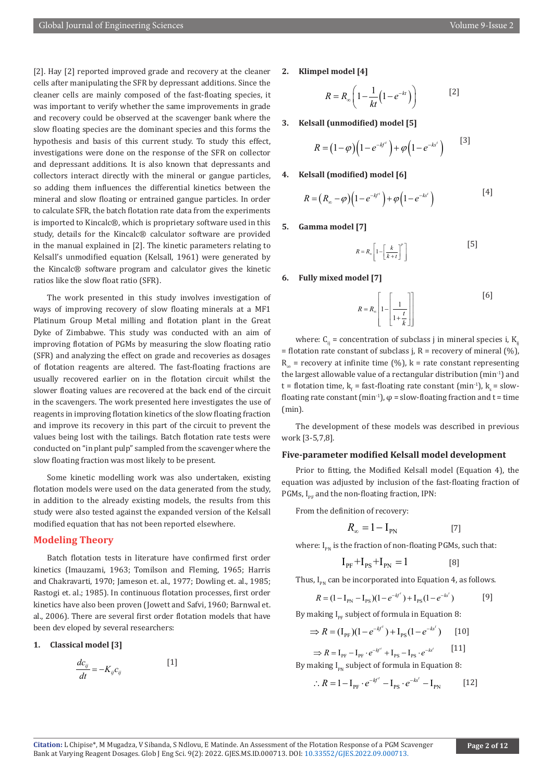[2]. Hay [2] reported improved grade and recovery at the cleaner cells after manipulating the SFR by depressant additions. Since the cleaner cells are mainly composed of the fast-floating species, it was important to verify whether the same improvements in grade and recovery could be observed at the scavenger bank where the slow floating species are the dominant species and this forms the hypothesis and basis of this current study. To study this effect, investigations were done on the response of the SFR on collector and depressant additions. It is also known that depressants and collectors interact directly with the mineral or gangue particles, so adding them influences the differential kinetics between the mineral and slow floating or entrained gangue particles. In order to calculate SFR, the batch flotation rate data from the experiments is imported to Kincalc®, which is proprietary software used in this study, details for the Kincalc® calculator software are provided in the manual explained in [2]. The kinetic parameters relating to Kelsall's unmodified equation (Kelsall, 1961) were generated by the Kincalc® software program and calculator gives the kinetic ratios like the slow float ratio (SFR).

The work presented in this study involves investigation of ways of improving recovery of slow floating minerals at a MF1 Platinum Group Metal milling and flotation plant in the Great Dyke of Zimbabwe. This study was conducted with an aim of improving flotation of PGMs by measuring the slow floating ratio (SFR) and analyzing the effect on grade and recoveries as dosages of flotation reagents are altered. The fast-floating fractions are usually recovered earlier on in the flotation circuit whilst the slower floating values are recovered at the back end of the circuit in the scavengers. The work presented here investigates the use of reagents in improving flotation kinetics of the slow floating fraction and improve its recovery in this part of the circuit to prevent the values being lost with the tailings. Batch flotation rate tests were conducted on "in plant pulp" sampled from the scavenger where the slow floating fraction was most likely to be present.

Some kinetic modelling work was also undertaken, existing flotation models were used on the data generated from the study, in addition to the already existing models, the results from this study were also tested against the expanded version of the Kelsall modified equation that has not been reported elsewhere.

#### **Modeling Theory**

Batch flotation tests in literature have confirmed first order kinetics (Imauzami, 1963; Tomilson and Fleming, 1965; Harris and Chakravarti, 1970; Jameson et. al., 1977; Dowling et. al., 1985; Rastogi et. al.; 1985). In continuous flotation processes, first order kinetics have also been proven (Jowett and Safvi, 1960; Barnwal et. al., 2006). There are several first order flotation models that have been dev eloped by several researchers:

#### **1. Classical model [3]**

$$
\frac{dc_{ij}}{dt} = -K_{ij}c_{ij} \tag{1}
$$

**2. Klimpel model [4]**

$$
R = R_{\infty} \left( 1 - \frac{1}{kt} \left( 1 - e^{-kt} \right) \right) \tag{2}
$$

**3. Kelsall (unmodified) model [5]**

$$
R = (1 - \varphi) \Big( 1 - e^{-k f'} \Big) + \varphi \Big( 1 - e^{-k s'} \Big) \qquad [3]
$$

**4. Kelsall (modified) model [6]**

$$
R = (R_{\infty} - \varphi) \Big( 1 - e^{-kf'} \Big) + \varphi \Big( 1 - e^{-ks'} \Big) \tag{4}
$$

**5. Gamma model [7]**

 $R = R_{\infty} \left[ 1 - \left[ \frac{k}{k + t} \right]^p \right]$ [5]

#### **6. Fully mixed model [7]**

$$
R = R_{\infty} \left[ 1 - \left[ \frac{1}{1 + \frac{t}{k}} \right] \right]
$$
 [6]

where:  $C_{ij}$  = concentration of subclass j in mineral species i, K<sub>ij</sub> = flotation rate constant of subclass j, R = recovery of mineral  $(\%)$ ,  $R_{\infty}$  = recovery at infinite time (%), k = rate constant representing the largest allowable value of a rectangular distribution (min-1) and t = flotation time,  $k_f$  = fast-floating rate constant (min<sup>-1</sup>),  $k_s$  = slowfloating rate constant (min<sup>-1</sup>),  $\varphi$  = slow-floating fraction and t = time (min).

The development of these models was described in previous work [3-5,7,8].

#### **Five-parameter modified Kelsall model development**

Prior to fitting, the Modified Kelsall model (Equation 4), the equation was adjusted by inclusion of the fast-floating fraction of PGMs,  $I_{\text{per}}$  and the non-floating fraction, IPN:

From the definition of recovery:

$$
R_{\infty} = 1 - I_{\text{PN}} \tag{7}
$$

where:  $I_{pM}$  is the fraction of non-floating PGMs, such that:

$$
I_{PF} + I_{PS} + I_{PN} = 1
$$
 [8]

Thus,  $I_{pN}$  can be incorporated into Equation 4, as follows.

$$
R = (1 - I_{\text{PN}} - I_{\text{PS}})(1 - e^{-kt'}) + I_{\text{PS}}(1 - e^{-ks'})
$$
 [9]

By making  $I_{PF}$  subject of formula in Equation 8:

$$
\Rightarrow R = (I_{\text{PF}})(1 - e^{-k^{t}}) + I_{\text{PS}}(1 - e^{-k^{t}})
$$
 [10]

$$
\Rightarrow R = I_{\text{PF}} - I_{\text{PF}} \cdot e^{-kf'} + I_{\text{PS}} - I_{\text{PS}} \cdot e^{-ks'} \qquad [11]
$$
  
By making  $I_{\text{PN}}$  subject of formula in Equation 8:

$$
\therefore R = 1 - I_{\text{PF}} \cdot e^{-kf'} - I_{\text{PS}} \cdot e^{-ks'} - I_{\text{PN}} \tag{12}
$$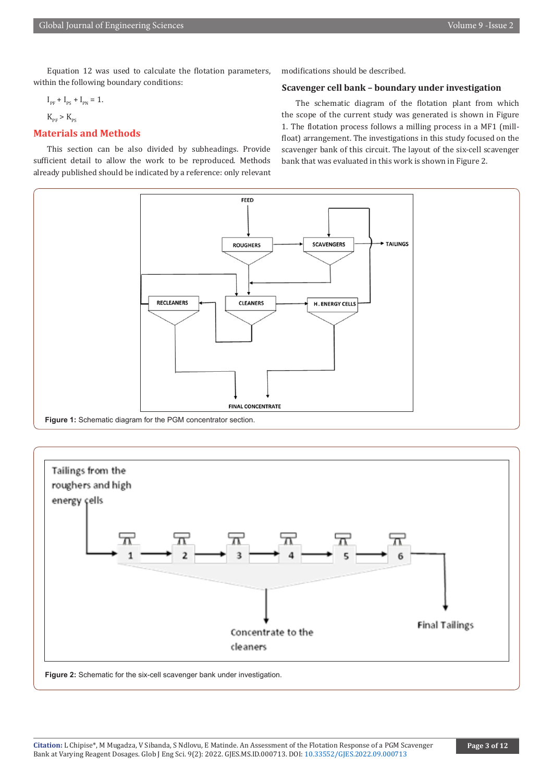Equation 12 was used to calculate the flotation parameters, within the following boundary conditions:

$$
\mathrm{I_{\text{PF}}} + \mathrm{I_{\text{PS}}} + \mathrm{I_{\text{PN}}} = 1.
$$

$$
K_{PF} > K_{PS}
$$

# **Materials and Methods**

This section can be also divided by subheadings. Provide sufficient detail to allow the work to be reproduced. Methods already published should be indicated by a reference: only relevant modifications should be described.

#### **Scavenger cell bank – boundary under investigation**

The schematic diagram of the flotation plant from which the scope of the current study was generated is shown in Figure 1. The flotation process follows a milling process in a MF1 (millfloat) arrangement. The investigations in this study focused on the scavenger bank of this circuit. The layout of the six-cell scavenger bank that was evaluated in this work is shown in Figure 2.



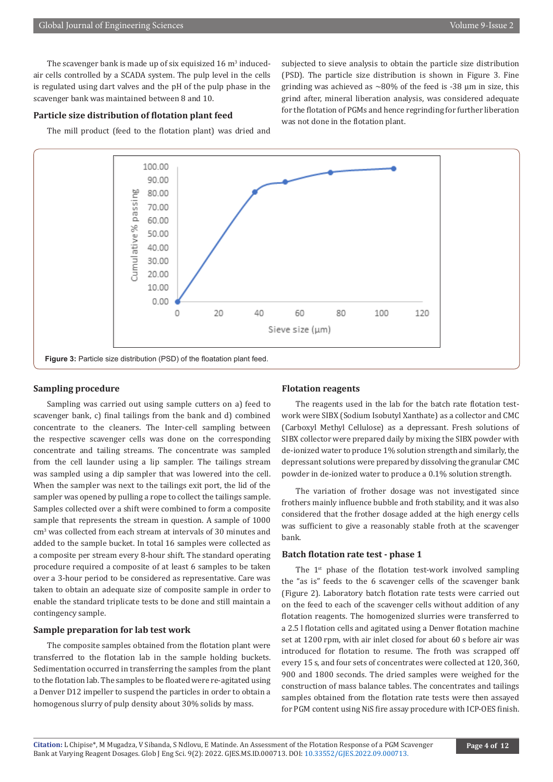The scavenger bank is made up of six equisized  $16 \text{ m}^3$  inducedair cells controlled by a SCADA system. The pulp level in the cells is regulated using dart valves and the pH of the pulp phase in the scavenger bank was maintained between 8 and 10.

#### **Particle size distribution of flotation plant feed**

The mill product (feed to the flotation plant) was dried and

subjected to sieve analysis to obtain the particle size distribution (PSD). The particle size distribution is shown in Figure 3. Fine grinding was achieved as  $\sim$ 80% of the feed is -38  $\mu$ m in size, this grind after, mineral liberation analysis, was considered adequate for the flotation of PGMs and hence regrinding for further liberation was not done in the flotation plant.



#### **Sampling procedure**

Sampling was carried out using sample cutters on a) feed to scavenger bank, c) final tailings from the bank and d) combined concentrate to the cleaners. The Inter-cell sampling between the respective scavenger cells was done on the corresponding concentrate and tailing streams. The concentrate was sampled from the cell launder using a lip sampler. The tailings stream was sampled using a dip sampler that was lowered into the cell. When the sampler was next to the tailings exit port, the lid of the sampler was opened by pulling a rope to collect the tailings sample. Samples collected over a shift were combined to form a composite sample that represents the stream in question. A sample of 1000 cm<sup>3</sup> was collected from each stream at intervals of 30 minutes and added to the sample bucket. In total 16 samples were collected as a composite per stream every 8-hour shift. The standard operating procedure required a composite of at least 6 samples to be taken over a 3-hour period to be considered as representative. Care was taken to obtain an adequate size of composite sample in order to enable the standard triplicate tests to be done and still maintain a contingency sample.

#### **Sample preparation for lab test work**

The composite samples obtained from the flotation plant were transferred to the flotation lab in the sample holding buckets. Sedimentation occurred in transferring the samples from the plant to the flotation lab. The samples to be floated were re-agitated using a Denver D12 impeller to suspend the particles in order to obtain a homogenous slurry of pulp density about 30% solids by mass.

#### **Flotation reagents**

The reagents used in the lab for the batch rate flotation testwork were SIBX (Sodium Isobutyl Xanthate) as a collector and CMC (Carboxyl Methyl Cellulose) as a depressant. Fresh solutions of SIBX collector were prepared daily by mixing the SIBX powder with de-ionized water to produce 1% solution strength and similarly, the depressant solutions were prepared by dissolving the granular CMC powder in de-ionized water to produce a 0.1% solution strength.

The variation of frother dosage was not investigated since frothers mainly influence bubble and froth stability, and it was also considered that the frother dosage added at the high energy cells was sufficient to give a reasonably stable froth at the scavenger bank.

#### **Batch flotation rate test - phase 1**

The  $1<sup>st</sup>$  phase of the flotation test-work involved sampling the "as is" feeds to the 6 scavenger cells of the scavenger bank (Figure 2). Laboratory batch flotation rate tests were carried out on the feed to each of the scavenger cells without addition of any flotation reagents. The homogenized slurries were transferred to a 2.5 l flotation cells and agitated using a Denver flotation machine set at 1200 rpm, with air inlet closed for about 60 s before air was introduced for flotation to resume. The froth was scrapped off every 15 s, and four sets of concentrates were collected at 120, 360, 900 and 1800 seconds. The dried samples were weighed for the construction of mass balance tables. The concentrates and tailings samples obtained from the flotation rate tests were then assayed for PGM content using NiS fire assay procedure with ICP-OES finish.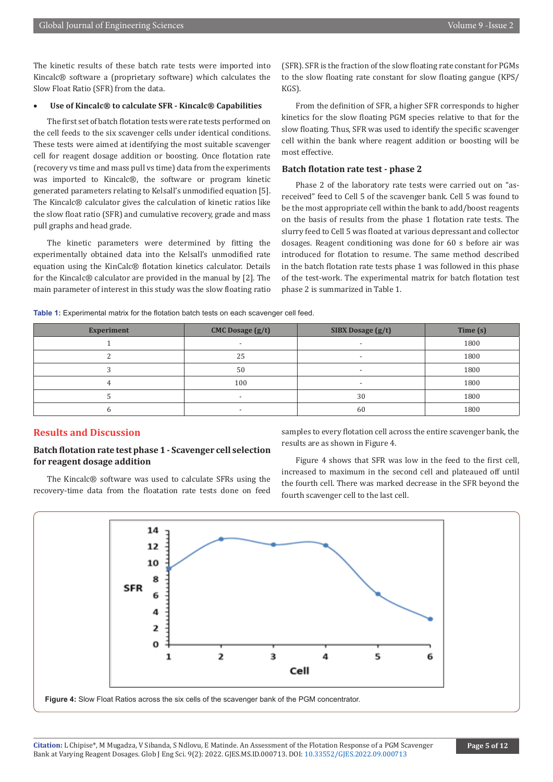The kinetic results of these batch rate tests were imported into Kincalc® software a (proprietary software) which calculates the Slow Float Ratio (SFR) from the data.

#### Use of Kincalc<sup>®</sup> to calculate SFR - Kincalc<sup>®</sup> Capabilities

The first set of batch flotation tests were rate tests performed on the cell feeds to the six scavenger cells under identical conditions. These tests were aimed at identifying the most suitable scavenger cell for reagent dosage addition or boosting. Once flotation rate (recovery vs time and mass pull vs time) data from the experiments was imported to Kincalc®, the software or program kinetic generated parameters relating to Kelsall's unmodified equation [5]. The Kincalc® calculator gives the calculation of kinetic ratios like the slow float ratio (SFR) and cumulative recovery, grade and mass pull graphs and head grade.

The kinetic parameters were determined by fitting the experimentally obtained data into the Kelsall's unmodified rate equation using the KinCalc® flotation kinetics calculator. Details for the Kincalc® calculator are provided in the manual by [2]. The main parameter of interest in this study was the slow floating ratio

(SFR). SFR is the fraction of the slow floating rate constant for PGMs to the slow floating rate constant for slow floating gangue (KPS/ KGS).

From the definition of SFR, a higher SFR corresponds to higher kinetics for the slow floating PGM species relative to that for the slow floating. Thus, SFR was used to identify the specific scavenger cell within the bank where reagent addition or boosting will be most effective.

#### **Batch flotation rate test - phase 2**

Phase 2 of the laboratory rate tests were carried out on "asreceived" feed to Cell 5 of the scavenger bank. Cell 5 was found to be the most appropriate cell within the bank to add/boost reagents on the basis of results from the phase 1 flotation rate tests. The slurry feed to Cell 5 was floated at various depressant and collector dosages. Reagent conditioning was done for 60 s before air was introduced for flotation to resume. The same method described in the batch flotation rate tests phase 1 was followed in this phase of the test-work. The experimental matrix for batch flotation test phase 2 is summarized in Table 1.

**Table 1:** Experimental matrix for the flotation batch tests on each scavenger cell feed.

| <b>Experiment</b> | <b>CMC Dosage (g/t)</b><br><b>SIBX Dosage (g/t)</b> |                          | Time (s) |  |
|-------------------|-----------------------------------------------------|--------------------------|----------|--|
|                   |                                                     |                          | 1800     |  |
|                   | 25                                                  | $\overline{\phantom{0}}$ | 1800     |  |
|                   | 50                                                  | $\overline{\phantom{0}}$ | 1800     |  |
|                   | 100                                                 | $\overline{\phantom{0}}$ | 1800     |  |
|                   |                                                     | 30                       | 1800     |  |
|                   |                                                     | 60                       | 1800     |  |

### **Results and Discussion**

#### **Batch flotation rate test phase 1 - Scavenger cell selection for reagent dosage addition**

The Kincalc® software was used to calculate SFRs using the recovery-time data from the floatation rate tests done on feed

samples to every flotation cell across the entire scavenger bank, the results are as shown in Figure 4.

Figure 4 shows that SFR was low in the feed to the first cell, increased to maximum in the second cell and plateaued off until the fourth cell. There was marked decrease in the SFR beyond the fourth scavenger cell to the last cell.



**Figure 4:** Slow Float Ratios across the six cells of the scavenger bank of the PGM concentrator.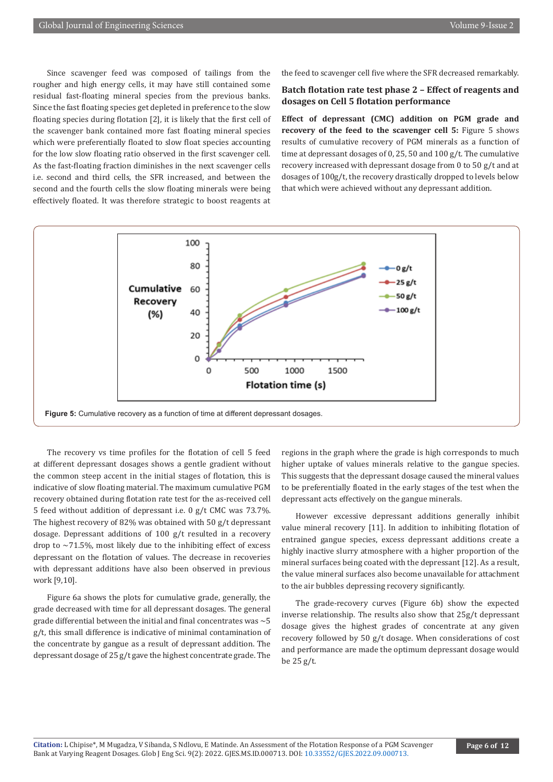Since scavenger feed was composed of tailings from the rougher and high energy cells, it may have still contained some residual fast-floating mineral species from the previous banks. Since the fast floating species get depleted in preference to the slow floating species during flotation [2], it is likely that the first cell of the scavenger bank contained more fast floating mineral species which were preferentially floated to slow float species accounting for the low slow floating ratio observed in the first scavenger cell. As the fast-floating fraction diminishes in the next scavenger cells i.e. second and third cells, the SFR increased, and between the second and the fourth cells the slow floating minerals were being effectively floated. It was therefore strategic to boost reagents at

the feed to scavenger cell five where the SFR decreased remarkably.

# **Batch flotation rate test phase 2 – Effect of reagents and dosages on Cell 5 flotation performance**

**Effect of depressant (CMC) addition on PGM grade and recovery of the feed to the scavenger cell 5:** Figure 5 shows results of cumulative recovery of PGM minerals as a function of time at depressant dosages of 0, 25, 50 and 100 g/t. The cumulative recovery increased with depressant dosage from 0 to 50 g/t and at dosages of 100g/t, the recovery drastically dropped to levels below that which were achieved without any depressant addition.



The recovery vs time profiles for the flotation of cell 5 feed at different depressant dosages shows a gentle gradient without the common steep accent in the initial stages of flotation, this is indicative of slow floating material. The maximum cumulative PGM recovery obtained during flotation rate test for the as-received cell 5 feed without addition of depressant i.e. 0 g/t CMC was 73.7%. The highest recovery of 82% was obtained with 50 g/t depressant dosage. Depressant additions of 100 g/t resulted in a recovery drop to  $\sim$  71.5%, most likely due to the inhibiting effect of excess depressant on the flotation of values. The decrease in recoveries with depressant additions have also been observed in previous work [9,10].

Figure 6a shows the plots for cumulative grade, generally, the grade decreased with time for all depressant dosages. The general grade differential between the initial and final concentrates was  $\sim$  5 g/t, this small difference is indicative of minimal contamination of the concentrate by gangue as a result of depressant addition. The depressant dosage of 25 g/t gave the highest concentrate grade. The

regions in the graph where the grade is high corresponds to much higher uptake of values minerals relative to the gangue species. This suggests that the depressant dosage caused the mineral values to be preferentially floated in the early stages of the test when the depressant acts effectively on the gangue minerals.

However excessive depressant additions generally inhibit value mineral recovery [11]. In addition to inhibiting flotation of entrained gangue species, excess depressant additions create a highly inactive slurry atmosphere with a higher proportion of the mineral surfaces being coated with the depressant [12]. As a result, the value mineral surfaces also become unavailable for attachment to the air bubbles depressing recovery significantly.

The grade-recovery curves (Figure 6b) show the expected inverse relationship. The results also show that 25g/t depressant dosage gives the highest grades of concentrate at any given recovery followed by 50 g/t dosage. When considerations of cost and performance are made the optimum depressant dosage would be 25 g/t.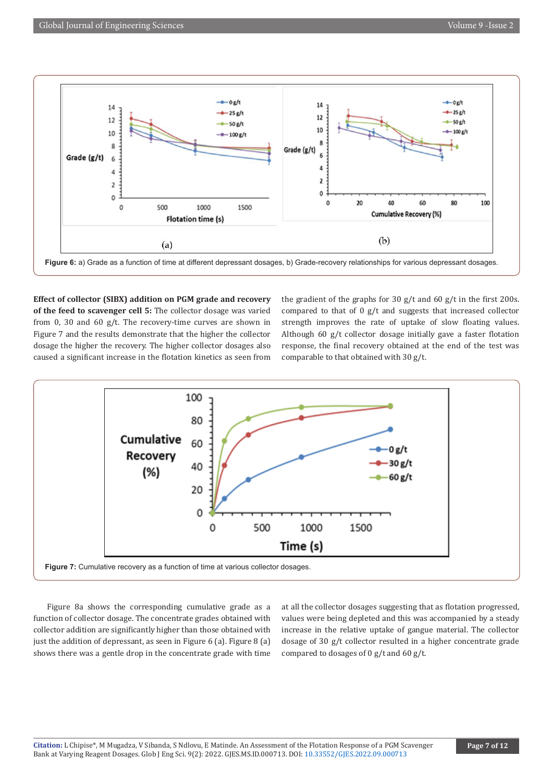

**Effect of collector (SIBX) addition on PGM grade and recovery of the feed to scavenger cell 5:** The collector dosage was varied from 0, 30 and 60 g/t. The recovery-time curves are shown in Figure 7 and the results demonstrate that the higher the collector dosage the higher the recovery. The higher collector dosages also caused a significant increase in the flotation kinetics as seen from the gradient of the graphs for 30 g/t and 60 g/t in the first 200s. compared to that of 0 g/t and suggests that increased collector strength improves the rate of uptake of slow floating values. Although 60 g/t collector dosage initially gave a faster flotation response, the final recovery obtained at the end of the test was comparable to that obtained with 30 g/t.



Figure 8a shows the corresponding cumulative grade as a function of collector dosage. The concentrate grades obtained with collector addition are significantly higher than those obtained with just the addition of depressant, as seen in Figure 6 (a). Figure 8 (a) shows there was a gentle drop in the concentrate grade with time at all the collector dosages suggesting that as flotation progressed, values were being depleted and this was accompanied by a steady increase in the relative uptake of gangue material. The collector dosage of 30 g/t collector resulted in a higher concentrate grade compared to dosages of 0 g/t and 60 g/t.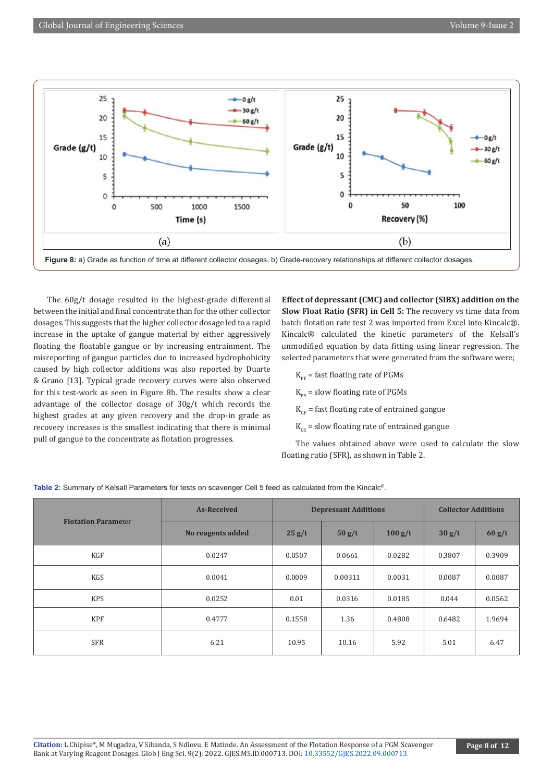

The 60g/t dosage resulted in the highest-grade differential between the initial and final concentrate than for the other collector dosages. This suggests that the higher collector dosage led to a rapid increase in the uptake of gangue material by either aggressively floating the floatable gangue or by increasing entrainment. The misreporting of gangue particles due to increased hydrophobicity caused by high collector additions was also reported by Duarte & Grano [13]. Typical grade recovery curves were also observed for this test-work as seen in Figure 8b. The results show a clear advantage of the collector dosage of 30g/t which records the highest grades at any given recovery and the drop-in grade as recovery increases is the smallest indicating that there is minimal pull of gangue to the concentrate as flotation progresses.

**Effect of depressant (CMC) and collector (SIBX) addition on the Slow Float Ratio (SFR) in Cell 5:** The recovery vs time data from batch flotation rate test 2 was imported from Excel into Kincalc®. Kincalc® calculated the kinetic parameters of the Kelsall's unmodified equation by data fitting using linear regression. The selected parameters that were generated from the software were;

- $K_{\text{pr}}$  = fast floating rate of PGMs
- $K_{\text{pc}}$  = slow floating rate of PGMs
- $K<sub>GF</sub>$  = fast floating rate of entrained gangue
- $K_{cs}$  = slow floating rate of entrained gangue

The values obtained above were used to calculate the slow floating ratio (SFR), as shown in Table 2.

| <b>Flotation Parameter</b> | <b>As-Received</b> | <b>Depressant Additions</b> |         | <b>Collector Additions</b> |        |        |
|----------------------------|--------------------|-----------------------------|---------|----------------------------|--------|--------|
|                            | No reagents added  | 25 g/t                      | 50 g/t  | 100 g/t                    | 30 g/t | 60 g/t |
| KGF                        | 0.0247             | 0.0507                      | 0.0661  | 0.0282                     | 0.3807 | 0.3909 |
| KGS                        | 0.0041             | 0.0009                      | 0.00311 | 0.0031                     | 0.0087 | 0.0087 |
| <b>KPS</b>                 | 0.0252             | 0.01                        | 0.0316  | 0.0185                     | 0.044  | 0.0562 |
| <b>KPF</b>                 | 0.4777             | 0.1558                      | 1.36    | 0.4808                     | 0.6482 | 1.9694 |
| <b>SFR</b>                 | 6.21               | 10.95                       | 10.16   | 5.92                       | 5.01   | 6.47   |

**Table 2:** Summary of Kelsall Parameters for tests on scavenger Cell 5 feed as calculated from the Kincalc®.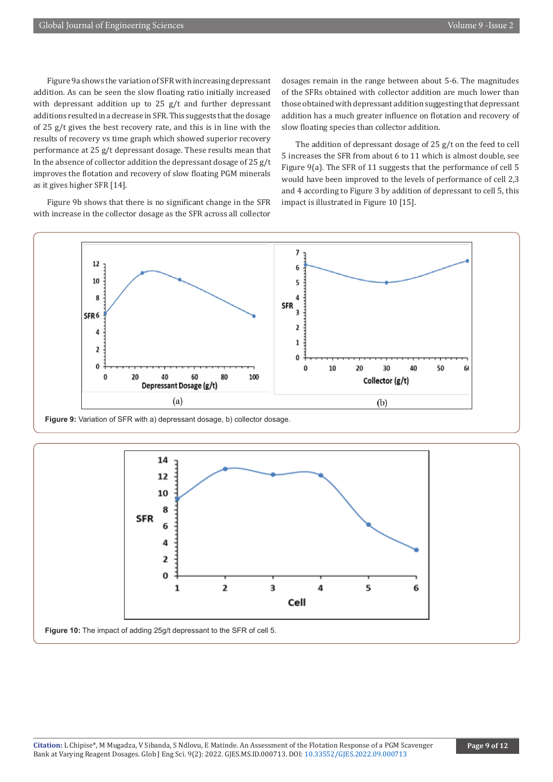Figure 9a shows the variation of SFR with increasing depressant addition. As can be seen the slow floating ratio initially increased with depressant addition up to 25 g/t and further depressant additions resulted in a decrease in SFR. This suggests that the dosage of 25 g/t gives the best recovery rate, and this is in line with the results of recovery vs time graph which showed superior recovery performance at 25 g/t depressant dosage. These results mean that In the absence of collector addition the depressant dosage of 25 g/t improves the flotation and recovery of slow floating PGM minerals as it gives higher SFR [14].

Figure 9b shows that there is no significant change in the SFR with increase in the collector dosage as the SFR across all collector

dosages remain in the range between about 5-6. The magnitudes of the SFRs obtained with collector addition are much lower than those obtained with depressant addition suggesting that depressant addition has a much greater influence on flotation and recovery of slow floating species than collector addition.

The addition of depressant dosage of 25 g/t on the feed to cell 5 increases the SFR from about 6 to 11 which is almost double, see Figure 9(a). The SFR of 11 suggests that the performance of cell 5 would have been improved to the levels of performance of cell 2,3 and 4 according to Figure 3 by addition of depressant to cell 5, this impact is illustrated in Figure 10 [15].



**Figure 9:** Variation of SFR with a) depressant dosage, b) collector dosage.

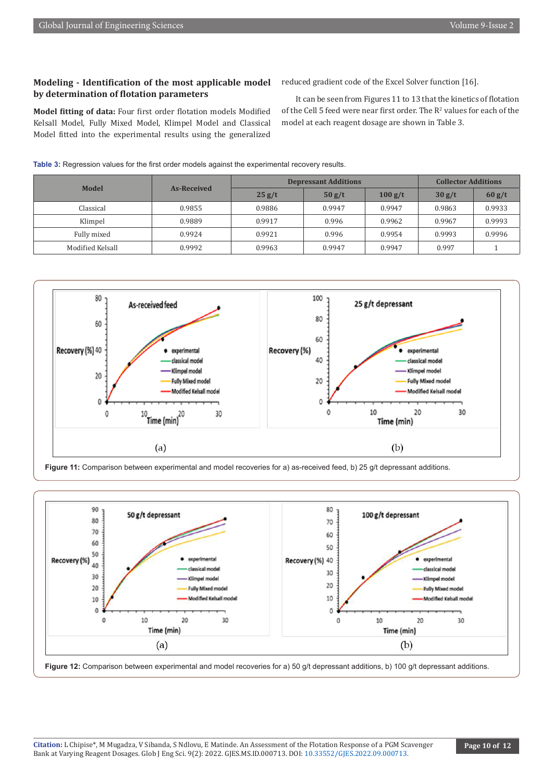# **Modeling - Identification of the most applicable model by determination of flotation parameters**

**Model fitting of data:** Four first order flotation models Modified Kelsall Model, Fully Mixed Model, Klimpel Model and Classical Model fitted into the experimental results using the generalized

reduced gradient code of the Excel Solver function [16].

It can be seen from Figures 11 to 13 that the kinetics of flotation of the Cell 5 feed were near first order. The  $R^2$  values for each of the model at each reagent dosage are shown in Table 3.

| <b>Model</b>     | As-Received | <b>Depressant Additions</b> |        |         | <b>Collector Additions</b> |        |
|------------------|-------------|-----------------------------|--------|---------|----------------------------|--------|
|                  |             | 25 g/t                      | 50 g/t | 100 g/t | 30 g/t                     | 60 g/t |
| Classical        | 0.9855      | 0.9886                      | 0.9947 | 0.9947  | 0.9863                     | 0.9933 |
| Klimpel          | 0.9889      | 0.9917                      | 0.996  | 0.9962  | 0.9967                     | 0.9993 |
| Fully mixed      | 0.9924      | 0.9921                      | 0.996  | 0.9954  | 0.9993                     | 0.9996 |
| Modified Kelsall | 0.9992      | 0.9963                      | 0.9947 | 0.9947  | 0.997                      |        |

**Table 3:** Regression values for the first order models against the experimental recovery results.



Figure 11: Comparison between experimental and model recoveries for a) as-received feed, b) 25 g/t depressant additions.



**Figure 12:** Comparison between experimental and model recoveries for a) 50 g/t depressant additions, b) 100 g/t depressant additions.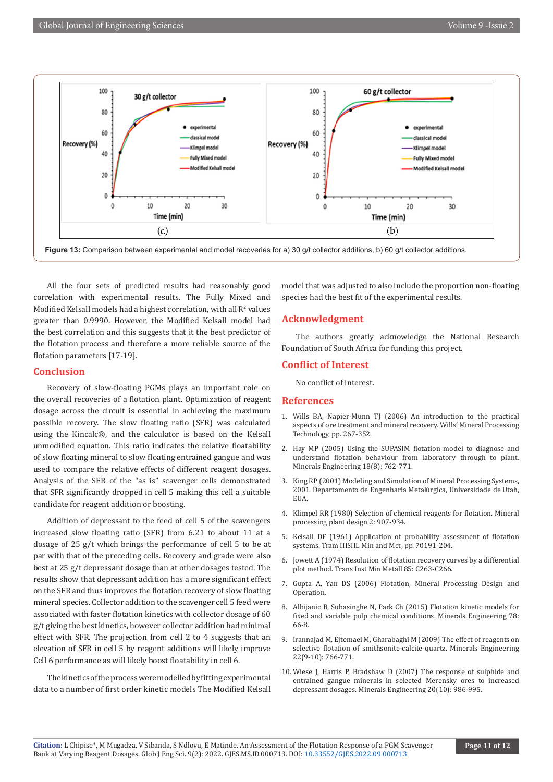

All the four sets of predicted results had reasonably good correlation with experimental results. The Fully Mixed and Modified Kelsall models had a highest correlation, with all  $\mathsf{R}^2$  values greater than 0.9990. However, the Modified Kelsall model had the best correlation and this suggests that it the best predictor of the flotation process and therefore a more reliable source of the flotation parameters [17-19].

#### **Conclusion**

Recovery of slow-floating PGMs plays an important role on the overall recoveries of a flotation plant. Optimization of reagent dosage across the circuit is essential in achieving the maximum possible recovery. The slow floating ratio (SFR) was calculated using the Kincalc®, and the calculator is based on the Kelsall unmodified equation. This ratio indicates the relative floatability of slow floating mineral to slow floating entrained gangue and was used to compare the relative effects of different reagent dosages. Analysis of the SFR of the "as is" scavenger cells demonstrated that SFR significantly dropped in cell 5 making this cell a suitable candidate for reagent addition or boosting.

Addition of depressant to the feed of cell 5 of the scavengers increased slow floating ratio (SFR) from 6.21 to about 11 at a dosage of 25 g/t which brings the performance of cell 5 to be at par with that of the preceding cells. Recovery and grade were also best at 25 g/t depressant dosage than at other dosages tested. The results show that depressant addition has a more significant effect on the SFR and thus improves the flotation recovery of slow floating mineral species. Collector addition to the scavenger cell 5 feed were associated with faster flotation kinetics with collector dosage of 60 g/t giving the best kinetics, however collector addition had minimal effect with SFR. The projection from cell 2 to 4 suggests that an elevation of SFR in cell 5 by reagent additions will likely improve Cell 6 performance as will likely boost floatability in cell 6.

The kinetics of the process were modelled by fitting experimental data to a number of first order kinetic models The Modified Kelsall model that was adjusted to also include the proportion non-floating species had the best fit of the experimental results.

### **Acknowledgment**

The authors greatly acknowledge the National Research Foundation of South Africa for funding this project.

#### **Conflict of Interest**

No conflict of interest.

#### **References**

- 1. Wills BA, Napier-Munn TJ (2006) An introduction to the practical aspects of ore treatment and mineral recovery. Wills' Mineral Processing Technology, pp. 267-352.
- 2. [Hay MP \(2005\) Using the SUPASIM flotation model to diagnose and](https://www.scinapse.io/papers/1964164315) [understand flotation behaviour from laboratory through to plant.](https://www.scinapse.io/papers/1964164315) [Minerals Engineering 18\(8\): 762-771.](https://www.scinapse.io/papers/1964164315)
- 3. King RP (2001) Modeling and Simulation of Mineral Processing Systems, 2001. Departamento de Engenharia Metalúrgica, Universidade de Utah, **EUA**
- 4. Klimpel RR (1980) Selection of chemical reagents for flotation. Mineral processing plant design 2: 907-934.
- 5. Kelsall DF (1961) Application of probability assessment of flotation systems. Tram IIISIIL Min and Met, pp. 70191-204.
- 6. Jowett A (1974) Resolution of flotation recovery curves by a differential plot method. Trans Inst Min Metall 85: C263-C266.
- 7. Gupta A, Yan DS (2006) Flotation, Mineral Processing Design and Operation.
- 8. [Albijanic B, Subasinghe N, Park Ch \(2015\) Flotation kinetic models for](https://www.sciencedirect.com/science/article/abs/pii/S0892687515001508) [fixed and variable pulp chemical conditions. Minerals Engineering 78:](https://www.sciencedirect.com/science/article/abs/pii/S0892687515001508) [66-8.](https://www.sciencedirect.com/science/article/abs/pii/S0892687515001508)
- 9. [Irannajad M, Ejtemaei M, Gharabaghi M \(2009\) The effect of reagents on](https://espace.library.uq.edu.au/view/UQ:7754338) [selective flotation of smithsonite-calcite-quartz. Minerals Engineering](https://espace.library.uq.edu.au/view/UQ:7754338) [22\(9-10\): 766-771.](https://espace.library.uq.edu.au/view/UQ:7754338)
- 10. [Wiese J, Harris P, Bradshaw D \(2007\) The response of sulphide and](https://espace.library.uq.edu.au/view/UQ:192338) [entrained gangue minerals in selected Merensky ores to increased](https://espace.library.uq.edu.au/view/UQ:192338) [depressant dosages. Minerals Engineering 20\(10\): 986-995.](https://espace.library.uq.edu.au/view/UQ:192338)